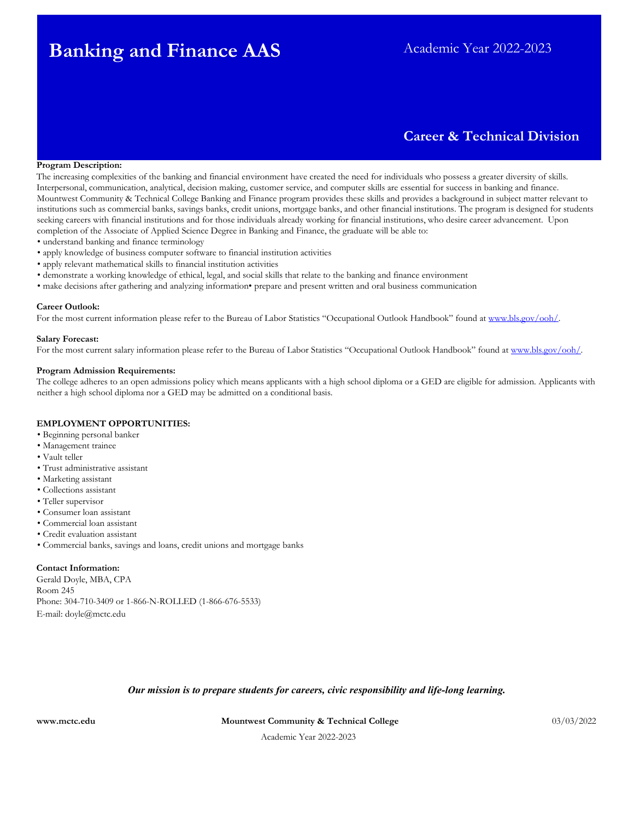# **Banking and Finance AAS** Academic Year 2022-2023

# **Career & Technical Division**

#### **Program Description:**

The increasing complexities of the banking and financial environment have created the need for individuals who possess a greater diversity of skills. Interpersonal, communication, analytical, decision making, customer service, and computer skills are essential for success in banking and finance. Mountwest Community & Technical College Banking and Finance program provides these skills and provides a background in subject matter relevant to institutions such as commercial banks, savings banks, credit unions, mortgage banks, and other financial institutions. The program is designed for students seeking careers with financial institutions and for those individuals already working for financial institutions, who desire career advancement. Upon completion of the Associate of Applied Science Degree in Banking and Finance, the graduate will be able to:

- understand banking and finance terminology
- apply knowledge of business computer software to financial institution activities
- apply relevant mathematical skills to financial institution activities
- demonstrate a working knowledge of ethical, legal, and social skills that relate to the banking and finance environment
- make decisions after gathering and analyzing information• prepare and present written and oral business communication

#### **Career Outlook:**

For the most current information please refer to the Bureau of Labor Statistics "Occupational Outlook Handbook" found at www.bls.gov/ooh/.

# **Salary Forecast:**

For the most current salary information please refer to the Bureau of Labor Statistics "Occupational Outlook Handbook" found a[t www.bls.gov/ooh/.](http://www.bls.gov/ooh/) 

#### **Program Admission Requirements:**

The college adheres to an open admissions policy which means applicants with a high school diploma or a GED are eligible for admission. Applicants with neither a high school diploma nor a GED may be admitted on a conditional basis.

#### **EMPLOYMENT OPPORTUNITIES:**

- Beginning personal banker
- Management trainee
- Vault teller
- Trust administrative assistant
- Marketing assistant
- Collections assistant
- Teller supervisor
- Consumer loan assistant
- Commercial loan assistant
- Credit evaluation assistant
- Commercial banks, savings and loans, credit unions and mortgage banks

#### **Contact Information:**

Gerald Doyle, MBA, CPA Room 245 Phone: 304-710-3409 or 1-866-N-ROLLED (1-866-676-5533) E-mail: doyle@mctc.edu

### *Our mission is to prepare students for careers, civic responsibility and life-long learning.*

**[www.mctc.edu](http://www.mctc.edu/) Mountwest Community & Technical College** 03/03/2022

Academic Year 2022-2023